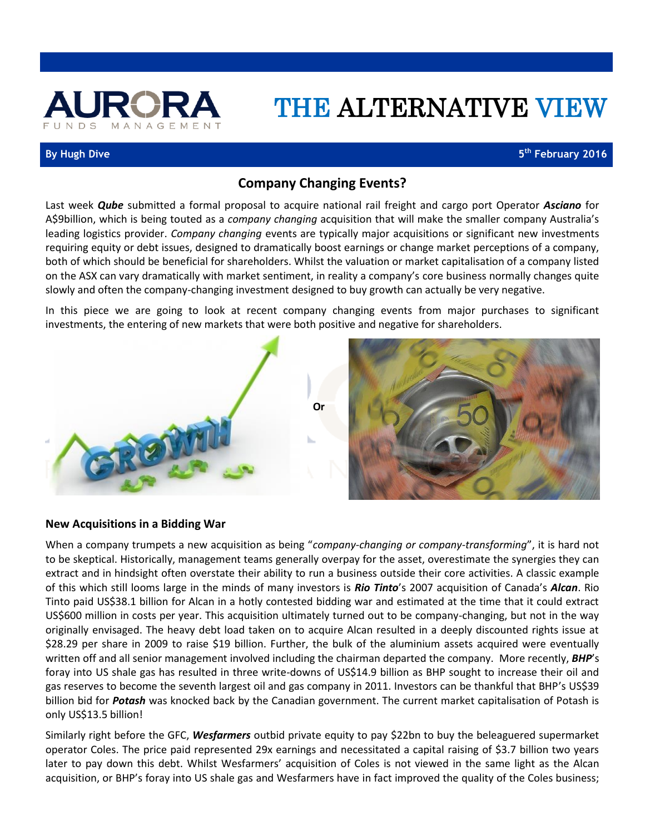

# THE ALTERNATIVE VIEW

#### **By Hugh Dive**

**th February 2016**

# **Company Changing Events?**

Last week *Qube* submitted a formal proposal to acquire national rail freight and cargo port Operator *Asciano* for A\$9billion, which is being touted as a *company changing* acquisition that will make the smaller company Australia's leading logistics provider. *Company changing* events are typically major acquisitions or significant new investments requiring equity or debt issues, designed to dramatically boost earnings or change market perceptions of a company, both of which should be beneficial for shareholders. Whilst the valuation or market capitalisation of a company listed on the ASX can vary dramatically with market sentiment, in reality a company's core business normally changes quite slowly and often the company-changing investment designed to buy growth can actually be very negative.

In this piece we are going to look at recent company changing events from major purchases to significant investments, the entering of new markets that were both positive and negative for shareholders.



## **New Acquisitions in a Bidding War**

When a company trumpets a new acquisition as being "*company-changing or company-transforming*", it is hard not to be skeptical. Historically, management teams generally overpay for the asset, overestimate the synergies they can extract and in hindsight often overstate their ability to run a business outside their core activities. A classic example of this which still looms large in the minds of many investors is *Rio Tinto*'s 2007 acquisition of Canada's *Alcan*. Rio Tinto paid US\$38.1 billion for Alcan in a hotly contested bidding war and estimated at the time that it could extract US\$600 million in costs per year. This acquisition ultimately turned out to be company-changing, but not in the way originally envisaged. The heavy debt load taken on to acquire Alcan resulted in a deeply discounted rights issue at \$28.29 per share in 2009 to raise \$19 billion. Further, the bulk of the aluminium assets acquired were eventually written off and all senior management involved including the chairman departed the company. More recently, *BHP*'s foray into US shale gas has resulted in three write-downs of US\$14.9 billion as BHP sought to increase their oil and gas reserves to become the seventh largest oil and gas company in 2011. Investors can be thankful that BHP's US\$39 billion bid for *Potash* was knocked back by the Canadian government. The current market capitalisation of Potash is only US\$13.5 billion!

Similarly right before the GFC, *Wesfarmers* outbid private equity to pay \$22bn to buy the beleaguered supermarket operator Coles. The price paid represented 29x earnings and necessitated a capital raising of \$3.7 billion two years later to pay down this debt. Whilst Wesfarmers' acquisition of Coles is not viewed in the same light as the Alcan acquisition, or BHP's foray into US shale gas and Wesfarmers have in fact improved the quality of the Coles business;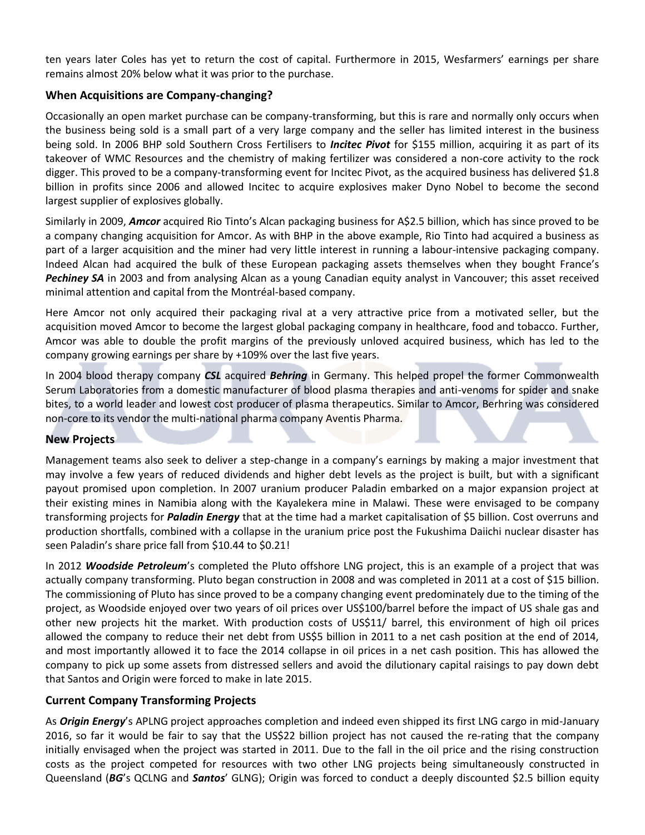ten years later Coles has yet to return the cost of capital. Furthermore in 2015, Wesfarmers' earnings per share remains almost 20% below what it was prior to the purchase.

# **When Acquisitions are Company-changing?**

Occasionally an open market purchase can be company-transforming, but this is rare and normally only occurs when the business being sold is a small part of a very large company and the seller has limited interest in the business being sold. In 2006 BHP sold Southern Cross Fertilisers to *Incitec Pivot* for \$155 million, acquiring it as part of its takeover of WMC Resources and the chemistry of making fertilizer was considered a non-core activity to the rock digger. This proved to be a company-transforming event for Incitec Pivot, as the acquired business has delivered \$1.8 billion in profits since 2006 and allowed Incitec to acquire explosives maker Dyno Nobel to become the second largest supplier of explosives globally.

Similarly in 2009, *Amcor* acquired Rio Tinto's Alcan packaging business for A\$2.5 billion, which has since proved to be a company changing acquisition for Amcor. As with BHP in the above example, Rio Tinto had acquired a business as part of a larger acquisition and the miner had very little interest in running a labour-intensive packaging company. Indeed Alcan had acquired the bulk of these European packaging assets themselves when they bought France's *Pechiney SA* in 2003 and from analysing Alcan as a young Canadian equity analyst in Vancouver; this asset received minimal attention and capital from the Montréal-based company.

Here Amcor not only acquired their packaging rival at a very attractive price from a motivated seller, but the acquisition moved Amcor to become the largest global packaging company in healthcare, food and tobacco. Further, Amcor was able to double the profit margins of the previously unloved acquired business, which has led to the company growing earnings per share by +109% over the last five years.

In 2004 blood therapy company *CSL* acquired *Behring* in Germany. This helped propel the former Commonwealth Serum Laboratories from a domestic manufacturer of blood plasma therapies and anti-venoms for spider and snake bites, to a world leader and lowest cost producer of plasma therapeutics. Similar to Amcor, Berhring was considered non-core to its vendor the multi-national pharma company Aventis Pharma.

## **New Projects**

Management teams also seek to deliver a step-change in a company's earnings by making a major investment that may involve a few years of reduced dividends and higher debt levels as the project is built, but with a significant payout promised upon completion. In 2007 uranium producer Paladin embarked on a major expansion project at their existing mines in Namibia along with the Kayalekera mine in Malawi. These were envisaged to be company transforming projects for *Paladin Energy* that at the time had a market capitalisation of \$5 billion. Cost overruns and production shortfalls, combined with a collapse in the uranium price post the Fukushima Daiichi nuclear disaster has seen Paladin's share price fall from \$10.44 to \$0.21!

In 2012 *Woodside Petroleum*'s completed the Pluto offshore LNG project, this is an example of a project that was actually company transforming. Pluto began construction in 2008 and was completed in 2011 at a cost of \$15 billion. The commissioning of Pluto has since proved to be a company changing event predominately due to the timing of the project, as Woodside enjoyed over two years of oil prices over US\$100/barrel before the impact of US shale gas and other new projects hit the market. With production costs of US\$11/ barrel, this environment of high oil prices allowed the company to reduce their net debt from US\$5 billion in 2011 to a net cash position at the end of 2014, and most importantly allowed it to face the 2014 collapse in oil prices in a net cash position. This has allowed the company to pick up some assets from distressed sellers and avoid the dilutionary capital raisings to pay down debt that Santos and Origin were forced to make in late 2015.

# **Current Company Transforming Projects**

As *Origin Energy*'s APLNG project approaches completion and indeed even shipped its first LNG cargo in mid-January 2016, so far it would be fair to say that the US\$22 billion project has not caused the re-rating that the company initially envisaged when the project was started in 2011. Due to the fall in the oil price and the rising construction costs as the project competed for resources with two other LNG projects being simultaneously constructed in Queensland (*BG*'s QCLNG and *Santos*' GLNG); Origin was forced to conduct a deeply discounted \$2.5 billion equity